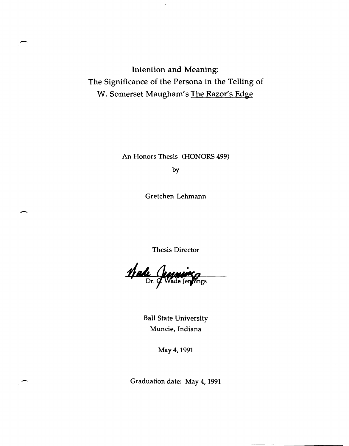Intention and Meaning: The Significance of the Persona in the Telling of W. Somerset Maugham's The Razor's Edge

-

 $\overline{\phantom{a}}$ 

An Honors Thesis (HONORS 499)

by

Gretchen Lehmann

Thesis Director

Made Jeywing

Ball State University Muncie, Indiana

May 4, 1991

Graduation date: May 4, 1991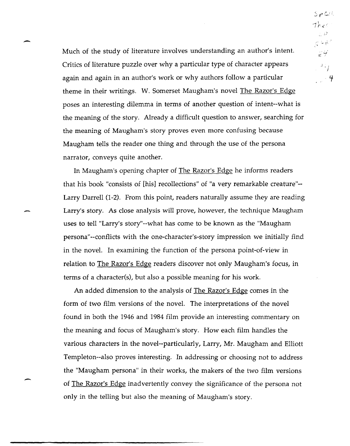Much of the study of literature involves understanding an author's intent. Critics of literature puzzle over why a particular type of character appears again and again in an author's work or why authors follow a particular theme in their writings. W. Somerset Maugham's novel The Razor's Edge poses an interesting dilemma in terms of another question of intent--what is the meaning of the story. Already a difficult question to answer, searching for the meaning of Maugham's story proves even more confusing because Maugham tells the reader one thing and through the use of the persona narrator, conveys quite another.

-

-

In Maugham's opening chapter of The Razor's Edge he informs readers that his book "consists of [his] recollections" of "a very remarkable creature"-- Larry Darrell (1-2). From this point, readers naturally assume they are reading Larry's story. As close analysis will prove, however, the technique Maugham uses to tell "Larry's story"--what has come to be known as the "Maugham persona"--conflicts with the one-character's-story impression we initially find in the novel. In examining the function of the persona point-of-view in relation to The Razor's Edge readers discover not only Maugham's focus, in terms of a character(s), but also a possible meaning for his work.

An added dimension to the analysis of The Razor's Edge comes in the form of two film versions of the novel. The interpretations of the novel found in both the 1946 and 1984 film provide an interesting commentary on the meaning and focus of Maugham's story. How each film handles the various characters in the novel--particularly, Larry, Mr. Maugham and Elliott Templeton--also proves interesting. In addressing or choosing not to address the "Maugham persona" in their works, the makers of the two film versions of The Razor's Edge inadvertently convey the significance of the persona not only in the telling but also the meaning of Maugham's story.

 $S_{P}$  $C_{1}$ .  $Thees$ i)  $\lesssim$  4.8  $\mathcal{Z} \not\vdash$  $\mathcal{F}_{\epsilon}$ - 4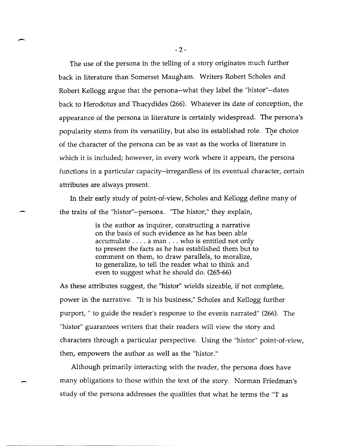The use of the persona in the telling of a story originates much further back in literature than Somerset Maugham. Writers Robert Scholes and Robert Kellogg argue that the persona--what they label the "histor"--dates back to Herodotus and Thucydides (266). Whatever its date of conception, the appearance of the persona in literature is certainly widespread. The persona's popularity stems from its versatility, but also its established role. The choice of the character of the persona can be as vast as the works of literature in which it is included; however, in every work where it appears, the persona functions in a particular capacity--irregardless of its eventual character, certain attributes are always present.

In their early study of point-of-view, Scholes and Kellogg define many of the traits of the "histor"--persona. "The histor," they explain,

> is the author as inquirer, constructing a narrative on the basis of such evidence as he has been able accumulate .... a man ... who is entitled not only to present the facts as he has established them but to comment on them, to draw parallels, to moralize, to generalize, to tell the reader what to think and even to suggest what he should do. (265-66)

As these attributes suggest, the "histor" wields sizeable, if not complete, power in the narrative. "It is his business," Scholes and Kellogg further purport, " to guide the reader's response to the events narrated" (266). The "histor" guarantees writers that their readers will view the story and characters through a particular perspective. Using the "histor" point-of-view, then, empowers the author as well as the "histor."

Although primarily interacting with the reader, the persona does have many obligations to those within the text of the story. Norman Friedman's study of the persona addresses the qualities that what he terms the "'I' as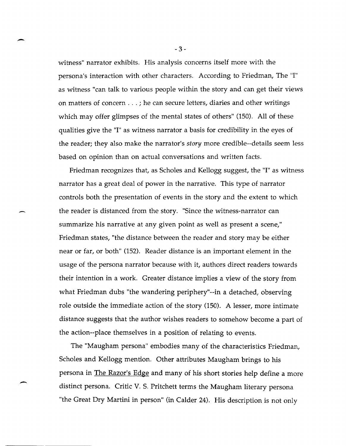witness" narrator exhibits. His analysis concerns itself more with the persona's interaction with other characters. According to Friedman, The "I" as witness "can talk to various people within the story and can get their views on matters of concern ... ; he can secure letters, diaries and other writings which may offer glimpses of the mental states of others" (150). All of these qualities give the "I" as witness narrator a basis for credibility in the eyes of the reader; they also make the narrator's *story* more credible--details seem less based on opinion than on actual conversations and written facts.

Friedman recognizes that, as Scholes and Kellogg suggest, the "I" as witness narrator has a great deal of power in the narrative. This type of narrator controls both the presentation of events in the story and the extent to which the reader is distanced from the story. "Since the witness-narrator can summarize his narrative at any given point as well as present a scene," Friedman states, "the distance between the reader and story may be either near or far, or both" (152). Reader distance is an important element in the usage of the persona narrator because with it, authors direct readers towards their intention in a work. Greater distance implies a view of the story from what Friedman dubs "the wandering periphery"--in a detached, observing role outside the immediate action of the story (150). A lesser, more intimate distance suggests that the author wishes readers to somehow become a part of the action--place themselves in a position of relating to events.

The "Maugham persona" embodies many of the characteristics Friedman, Scholes and Kellogg mention. Other attributes Maugham brings to his persona in The Razor's Edge and many of his short stories help define a more distinct persona. Critic V. S. Pritchett terms the Maugham literary persona "the Great Dry Martini in person" (in Calder 24). His description is not only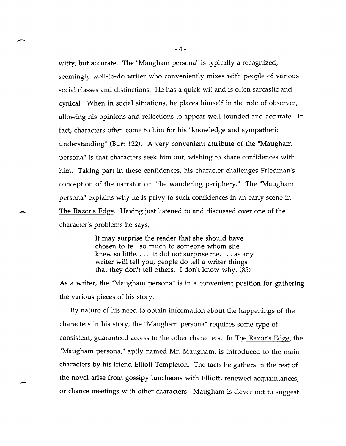witty, but accurate. The "Maugham persona" is typically a recognized, seemingly well-to-do writer who conveniently mixes with people of various social classes and distinctions. He has a quick wit and is often sarcastic and cynical. When in social situations, he places himself in the role of observer, allowing his opinions and reflections to appear well-founded and accurate. In fact, characters often come to him for his "knowledge and sympathetic understanding" (Burt 122). A very convenient attribute of the "Maugham persona" is that characters seek him out, wishing to share confidences with him. Taking part in these confidences, his character challenges Friedman's conception of the narrator on "the wandering periphery." The "Maugham persona" explains why he is privy to such confidences in an early scene in The Razor's Edge. Having just listened to and discussed over one of the character's problems he says,

> It may surprise the reader that she should have chosen to tell so much to someone whom she knew so little.  $\dots$  It did not surprise me.  $\dots$  as any writer will tell you, people do tell a writer things that they don't tell others. I don't know why. (85)

As a writer, the "Maugham persona" is in a convenient position for gathering the various pieces of his story.

By nature of his need to obtain information about the happenings of the characters in his story, the "Maugham persona" requires some type of consistent, guaranteed access to the other characters. In The Razor's Edge, the "Maugham persona," aptly named Mr. Maugham, is introduced to the main characters by his friend Elliott Templeton. The facts he gathers in the rest of the novel arise from gossipy luncheons with Elliott, renewed acquaintances, or chance meetings with other characters. Maugham is clever not to suggest

-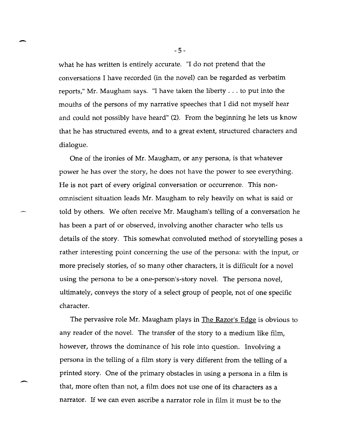what he has written is entirely accurate. "I do not pretend that the conversations I have recorded (in the novel) can be regarded as verbatim reports," Mr. Maugham says. "I have taken the liberty ... to put into the mouths of the persons of my narrative speeches that I did not myself hear and could not possibly have heard" (2). From the beginning he lets us know that he has structured events, and to a great extent, structured characters and dialogue.

One of the ironies of Mr. Maugham, or any persona, is that whatever power he has over the story, he does not have the power to see everything. He is not part of every original conversation or occurrence. This nonomniscient situation leads Mr. Maugham to rely heavily on what is said or told by others. We often receive Mr. Maugham's telling of a conversation he has been a part of or observed, involving another character who tells us details of the story. This somewhat convoluted method of storytelling poses a rather interesting point concerning the use of the persona: with the input, or more precisely stories, of so many other characters, it is difficult for a novel using the persona to be a one-person's-story novel. The persona novel, ultimately, conveys the story of a select group of people, not of one specific character.

The pervasive role Mr. Maugham plays in <u>The Razor's Edge</u> is obvious to any reader of the novel. The transfer of the story to a medium like film, however, throws the dominance of his role into question. Involving a persona in the telling of a film story is very different from the telling of a printed story. One of the primary obstacles in using a persona in a film is that, more often than not, a film does not use one of its characters as a narrator. If we can even ascribe a narrator role in film it must be to the

-5-

-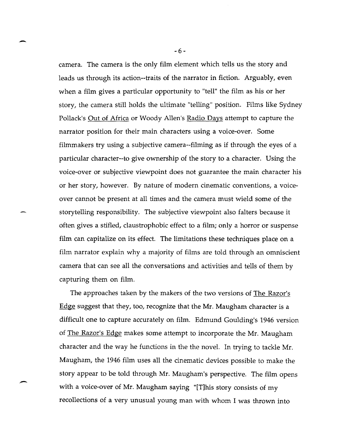camera. The camera is the only film element which tells us the story and leads us through its action--traits of the narrator in fiction. Arguably, even when a film gives a particular opportunity to "tell" the film as his or her story, the camera still holds the ultimate "telling" position. Films like Sydney Pollack's Out of Africa or Woody Allen's Radio Days attempt to capture the narrator position for their main characters using a voice-over. Some filmmakers try using a subjective camera--filming as if through the eyes of a particular character--to give ownership of the story to a character. Using the voice-over or subjective viewpoint does not guarantee the main character his or her story, however. By nature of modern cinematic conventions, a voiceover cannot be present at all times and the camera must wield some of the storytelling responsibility. The subjective viewpoint also falters because it often gives a stifled, claustrophobic effect to a film; only a horror or suspense film can capitalize on its effect. The limitations these techniques place on a film narrator explain why a majority of films are told through an omniscient camera that can see all the conversations and activities and tells of them by capturing them on film.

The approaches taken by the makers of the two versions of The Razor's Edge suggest that they, too, recognize that the Mr. Maugham character is a difficult one to capture accurately on film. Edmund Goulding's 1946 version of The Razor's Edge makes some attempt to incorporate the Mr. Maugham character and the way he functions in the the novel. In trying to tackle Mr. Maugham, the 1946 film uses all the cinematic devices possible to make the story appear to be told through Mr. Maugham's perspective. The film opens with a voice-over of Mr. Maugham saying "[T]his story consists of my recollections of a very unusual young man with whom I was thrown into

-6-

-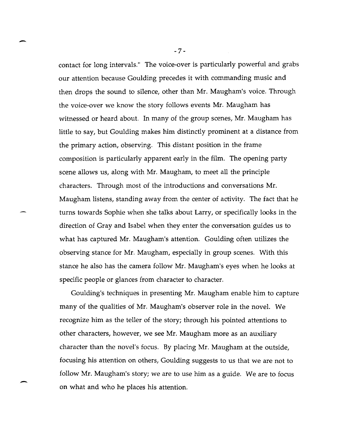contact for long intervals." The voice-over is particularly powerful and grabs our attention because Goulding precedes it with commanding music and then drops the sound to silence, other than Mr. Maugham's voice. Through the voice-over we know the story follows events Mr. Maugham has witnessed or heard about. In many of the group scenes, Mr. Maugham has little to say, but Goulding makes him distinctly prominent at a distance from the primary action, observing. This distant position in the frame composition is particularly apparent early in the film. The opening party scene allows us, along with Mr. Maugham, to meet all the principle characters. Through most of the introductions and conversations Mr. Maugham listens, standing away from the center of activity. The fact that he turns towards Sophie when she talks about Larry, or specifically looks in the direction of Gray and Isabel when they enter the conversation guides us to what has captured Mr. Maugham's attention. Goulding often utilizes the observing stance for Mr. Maugham, especially in group scenes. With this stance he also has the camera follow Mr. Maugham's eyes when he looks at specific people or glances from character to character.

Goulding's techniques in presenting Mr. Maugham enable him to capture many of the qualities of Mr. Maugham's observer role in the novel. We recognize him as the teller of the story; through his pointed attentions to other characters, however, we see Mr. Maugham more as an auxiliary character than the novel's focus. By placing Mr. Maugham at the outside, focusing his attention on others, Goulding suggests to us that we are not to follow Mr. Maugham's story; we are to use him as a guide. We are to focus on what and who he places his attention.

-7-

-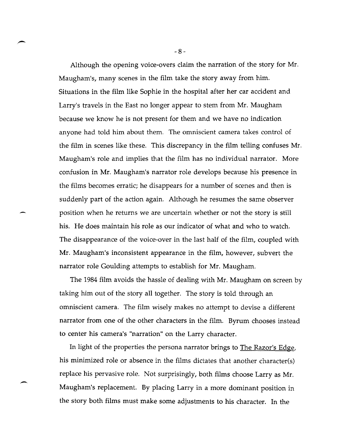Although the opening voice-overs claim the narration of the story for Mr. Maugham's, many scenes in the film take the story away from him. Situations in the film like Sophie in the hospital after her car accident and Larry's travels in the East no longer appear to stem from Mr. Maugham because we know he is not present for them and we have no indication anyone had told him about them. The omniscient camera takes control of the film in scenes like these. This discrepancy in the film telling confuses Mr. Maugham's role and implies that the film has no individual narrator. More confusion in Mr. Maugham's narrator role develops because his presence in the films becomes erratic; he disappears for a number of scenes and then is suddenly part of the action again. Although he resumes the same observer position when he returns we are uncertain whether or not the story is still his. He does maintain his role as our indicator of what and who to watch. The disappearance of the voice-over in the last half of the film, coupled with Mr. Maugham's inconsistent appearance in the film, however, subvert the narrator role Goulding attempts to establish for Mr. Maugham.

The 1984 film avoids the hassle of dealing with Mr. Maugham on screen by taking him out of the story all together. The story is told through an omniscient camera. The film wisely makes no attempt to devise a different narrator from one of the other characters in the film. Byrum chooses instead to center his camera's "narration" on the Larry character.

In light of the properties the persona narrator brings to The Razor's Edge, his minimized role or absence in the films dictates that another character(s) replace his pervasive role. Not surprisingly, both films choose Larry as Mr. Maugham's replacement. By placing Larry in a more dominant position in the story both films must make some adjustments to his character. In the

 $\overline{\phantom{0}}$ 

-8-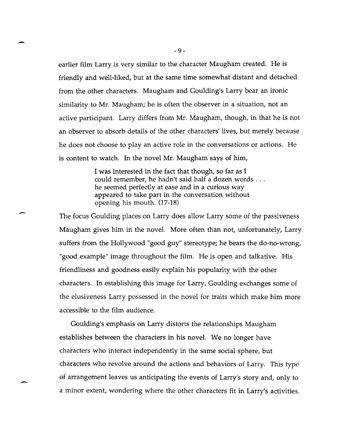earlier film Larry is very similar to the character Maugham created. He is friendly and well-liked, but at the same time somewhat distant and detached from the other characters. Maugham and Goulding's Larry bear an ironic similarity to Mr. Maugham; he is often the observer in a situation, not an active participant. Larry differs from Mr. Maugham, though, in that he is not an observer to absorb details of the other characters' lives, but merely because he does not choose to play an active role in the conversations or actions. He is content to watch. In the novel Mr. Maugham says of him,

> I was interested in the fact that though, so far as I could remember, he hadn't said half a dozen words ... he seemed perfectly at ease and in a curious way appeared to take part in the conversation without opening his mouth. (17-18)

The focus Goulding places on Larry does allow Larry some of the passiveness Maugham gives him in the novel. More often than not, unfortunately, Larry suffers from the Hollywood "good guy" stereotype; he bears the do-no-wrong, "good example" image throughout the film. He is open and talkative. His friendliness and goodness easily explain his popularity with the other characters. In establishing this image for Larry, Goulding exchanges some of the elusiveness Larry possessed in the novel for traits which make him more accessible to the film audience.

Goulding's emphasis on Larry distorts the relationships Maugham establishes between the characters in his novel. We no longer have characters who interact independently in the same social sphere, but characters who revolve around the actions and behaviors of Larry. This type of arrangement leaves us anticipating the events of Larry's story and, only to a minor extent, wondering where the other characters fit in Larry's activities.

.-

-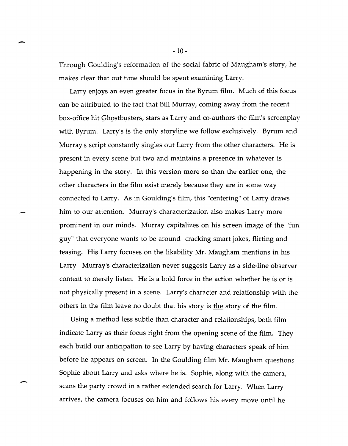Through Goulding's reformation of the social fabric of Maugham's story, he makes clear that out time should be spent examining Larry.

Larry enjoys an even greater focus in the Byrum film. Much of this focus can be attributed to the fact that Bill Murray, coming away from the recent box-office hit Ghostbusters, stars as Larry and co-authors the film's screenplay with Byrum. Larry's is the only storyline we follow exclusively. Byrum and Murray's script constantly singles out Larry from the other characters. He is present in every scene but two and maintains a presence in whatever is happening in the story. In this version more so than the earlier one, the other characters in the film exist merely because they are in some way connected to Larry. As in Goulding's film, this "centering" of Larry draws him to our attention. Murray's characterization also makes Larry more prominent in our minds. Murray capitalizes on his screen image of the "fun guy" that everyone wants to be around--cracking smart jokes, flirting and teasing. His Larry focuses on the likability Mr. Maugham mentions in his Larry. Murray's characterization never suggests Larry as a side-line observer content to merely listen. He is a bold force in the action whether he is or is not physically present in a scene. Larry's character and relationship with the others in the film leave no doubt that his story is the story of the film.

Using a method less subtle than character and relationships, both film indicate Larry as their focus right from the opening scene of the film. They each build our anticipation to see Larry by having characters speak of him before he appears on screen. In the Goulding film Mr. Maugham questions Sophie about Larry and asks where he is. Sophie, along with the camera, scans the party crowd in a rather extended search for Larry. When Larry arrives, the camera focuses on him and follows his every move until he

-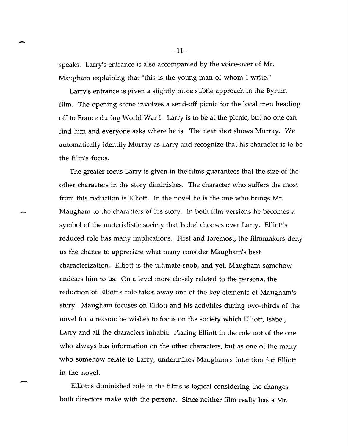speaks. Larry's entrance is also accompanied by the voice-over of Mr. Maugham explaining that "this is the young man of whom I write."

-

-.

Larry's entrance is given a slightly more subtle approach in the Byrum film. The opening scene involves a send-off picnic for the local men heading off to France during World War I. Larry is to be at the picnic, but no one can find him and everyone asks where he is. The next shot shows Murray. We automatically identify Murray as Larry and recognize that his character is to be the film's focus.

The greater focus Larry is given in the films guarantees that the size of the other characters in the story diminishes. The character who suffers the most from this reduction is Elliott. In the novel he is the one who brings Mr. Maugham to the characters of his story. In both film versions he becomes a symbol of the materialistic society that Isabel chooses over Larry. Elliott's reduced role has many implications. First and foremost, the filmmakers deny us the chance to appreciate what many consider Maugham's best characterization. Elliott is the ultimate snob, and yet, Maugham somehow endears him to us. On a level more closely related to the persona, the reduction of Elliott's role takes away one of the key elements of Maugham's story. Maugham focuses on Elliott and his activities during two-thirds of the novel for a reason: he wishes to focus on the society which Elliott, Isabel, Larry and all the characters inhabit. Placing Elliott in the role not of the one who always has information on the other characters, but as one of the many who somehow relate to Larry, undermines Maugham's intention for Elliott in the novel.

Elliott's diminished role in the films is logical considering the changes both directors make with the persona. Since neither film really has a Mr.

-11 -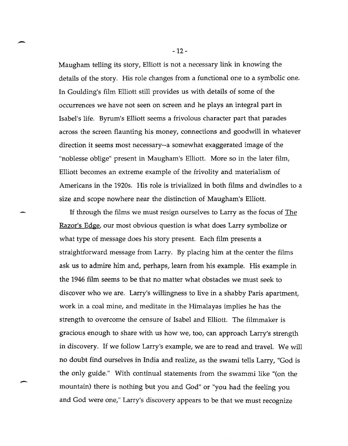Maugham telling its story, Elliott is not a necessary link in knowing the details of the story. His role changes from a functional one to a symbolic one. In Goulding's film Elliott still provides us with details of some of the occurrences we have not seen on screen and he plays an integral part in Isabel's life. Byrum's Elliott seems a frivolous character part that parades across the screen flaunting his money, connections and goodwill in whatever direction it seems most necessary--a somewhat exaggerated image of the "noblesse oblige" present in Maugham's Elliott. More so in the later film, Elliott becomes an extreme example of the frivolity and materialism of Americans in the 1920s. His role is trivialized in both films and dwindles to a size and scope nowhere near the distinction of Maugham's Elliott.

If through the films we must resign ourselves to Larry as the focus of The Razor's Edge, our most obvious question is what does Larry symbolize or what type of message does his story present. Each film presents a straightforward message from Larry. By placing him at the center the films ask us to admire him and, perhaps, learn from his example. His example in the 1946 film seems to be that no matter what obstacles we must seek to discover who we are. Larry's willingness to live in a shabby Paris apartment, work in a coal mine, and meditate in the Himalayas implies he has the strength to overcome the censure of Isabel and Elliott. The filmmaker is gracious enough to share with us how we, too, can approach Larry's strength in discovery. If we follow Larry's example, we are to read and travel. We will no doubt find ourselves in India and realize, as the swami tells Larry, "God is the only guide." With continual statements from the swammi like "(on the mountain) there is nothing but you and God" or "you had the feeling you and God were one," Larry's discovery appears to be that we must recognize

 $\overline{\phantom{0}}$ 

-12 -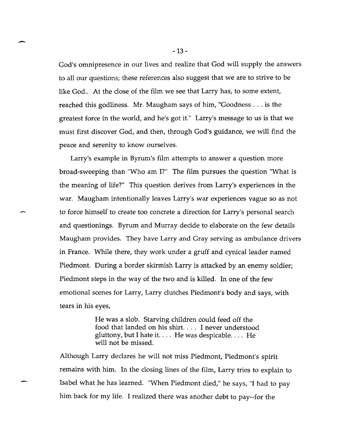God's omnipresence in our lives and realize that God will supply the answers to all our questions; these references also suggest that we are to strive to be like God.. At the close of the film we see that Larry has, to some extent, reached this godliness. Mr. Maugham says of him, "Goodness ... is the greatest force in the world, and he's got it." Larry's message to us is that we must first discover God, and then, through God's guidance, we will find the peace and serenity to know ourselves.

Larry's example in Byrum's film attempts to answer a question more broad-sweeping than "Who am I?" The film pursues the question "What is the meaning of life?" This question derives from Larry's experiences in the war. Maugham intentionally leaves Larry's war experiences vague so as not to force himself to create too concrete a direction for Larry's personal search and questionings. Byrum and Murray decide to elaborate on the few details Maugham provides. They have Larry and Gray serving as ambulance drivers in France. While there, they work under a gruff and cynical leader named Piedmont. During a border skirmish Larry is attacked by an enemy soldier; Piedmont steps in the way of the two and is killed. In one of the few emotional scenes for Larry, Larry clutches Piedmont's body and says, with tears in his eyes,

> He was a slob. Starving children could feed off the food that landed on his shirt.  $\ldots$  I never understood gluttony, but I hate it. ... He was despicable .... He will not be missed.

Although Larry declares he will not miss Piedmont, Piedmont's spirit remains with him. In the closing lines of the film, Larry tries to explain to Isabel what he has learned. "When Piedmont died," he says, "I had to pay him back for my life. I realized there was another debt to pay--for the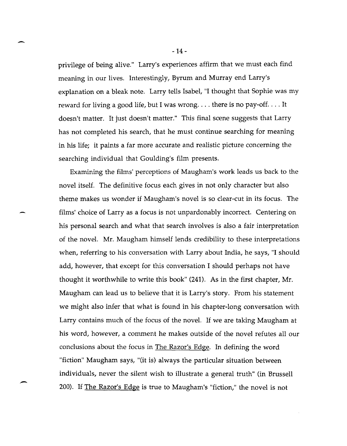privilege of being alive." Larry's experiences affirm that we must each find meaning in our lives. Interestingly, Byrum and Murray end Larry's explanation on a bleak note. Larry tells Isabel, "I thought that Sophie was my reward for living a good life, but I was wrong.... there is no pay-off.... It doesn't matter. It just doesn't matter." This final scene suggests that Larry has not completed his search, that he must continue searching for meaning in his life; it paints a far more accurate and realistic picture concerning the searching individual that Goulding's film presents.

Examining the films' perceptions of Maugham's work leads us back to the novel itself. The definitive focus each gives in not only character but also theme makes us wonder if Maugham's novel is so clear-cut in its focus. The films' choice of Larry as a focus is not unpardonably incorrect. Centering on his personal search and what that search involves is also a fair interpretation of the novel. Mr. Maugham himself lends credibility to these interpretations when, referring to his conversation with Larry about India, he says, "I should add, however, that except for this conversation I should perhaps not have thought it worthwhile to write this book" (241). As in the first chapter, Mr. Maugham can lead us to believe that it is Larry's story. From his statement we might also infer that what is found in his chapter-long conversation with Larry contains much of the focus of the novel. If we are taking Maugham at his word, however, a comment he makes outside of the novel refutes all our conclusions about the focus in The Razor's Edge. In defining the word "fiction" Maugham says, "(it is) always the particular situation between individuals, never the silent wish to illustrate a general truth" (in Brussell 200). If <u>The Razor's Edge</u> is true to Maugham's "fiction," the novel is not

-14 -

-

 $\overline{\phantom{0}}$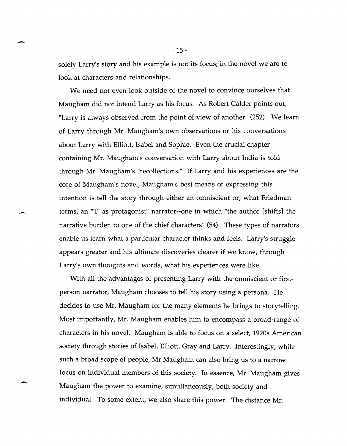solely Larry's story and his example is not its focus; in the novel we are to look at characters and relationships.

-

-

-

We need not even look outside of the novel to convince ourselves that Maugham did not intend Larry as his focus. As Robert Calder points out, "Larry is always observed from the point of view of another" (252). We learn of Larry through Mr. Maugham's own observations or his conversations about Larry with Elliott, Isabel and Sophie. Even the crucial chapter containing Mr. Maugham's conversation with Larry about India is told through Mr. Maugham's "recollections." If Larry and his experiences are the core of Maugham's novel, Maugham's best means of expressing this intention is tell the story through either an omniscient or, what Friedman terms, an "'I" as protagonist" narrator--one in which "the author [shifts] the narrative burden to one of the chief characters" (54). These types of narrators enable us learn what a particular character thinks and feels. Larry's struggle appears greater and his ultimate discoveries clearer if we know, through Larry's own thoughts and words, what his experiences were like.

With all the advantages of presenting Larry with the omniscient or firstperson narrator, Maugham chooses to tell his story using a persona. He decides to use Mr. Maugham for the many elements he brings to storytelling. Most importantly, Mr. Maugham enables him to encompass a broad-range of characters in his novel. Maugham is able to focus on a select, 1920s American society through stories of Isabel, Elliott, Gray and Larry. Interestingly, while such a broad scope of people, Mr Maugham can also bring us to a narrow focus on individual members of this society. In essence, Mr. Maugham gives Maugham the power to examine, simultaneously, both society and individual. To some extent, we also share this power. The distance Mr.

-15 -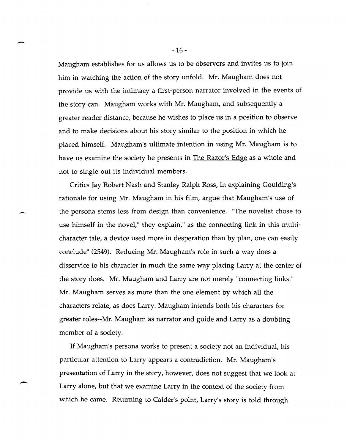Maugham establishes for us allows us to be observers and invites us to join him in watching the action of the story unfold. Mr. Maugham does not provide us with the intimacy a first-person narrator involved in the events of the story can. Maugham works with Mr. Maugham, and subsequently a greater reader distance, because he wishes to place us in a position to observe and to make decisions about his story similar to the position in which he placed himself. Maugham's ultimate intention in using Mr. Maugham is to have us examine the society he presents in The Razor's Edge as a whole and not to single out its individual members.

Critics Jay Robert Nash and Stanley Ralph Ross, in explaining Goulding's rationale for using Mr. Maugham in his film, argue that Maugham's use of the persona stems less from design than convenience. "The novelist chose to use himself in the novel," they explain," as the connecting link in this multicharacter tale, a device used more in desperation than by plan, one can easily conclude" (2549). Reducing Mr. Maugham's role in such a way does a disservice to his character in much the same way placing Larry at the center of the story does. Mr. Maugham and Larry are not merely "connecting links." Mr. Maugham serves as more than the one element by which all the characters relate, as does Larry. Maugham intends both his characters for greater roles--Mr. Maugham as narrator and guide and Larry as a doubting member of a society.

If Maugham's persona works to present a society not an individual, his particular attention to Larry appears a contradiction. Mr. Maugham's presentation of Larry in the story, however, does not suggest that we look at Larry alone, but that we examine Larry in the context of the society from which he came. Returning to Calder's point, Larry's story is told through

-16 -

-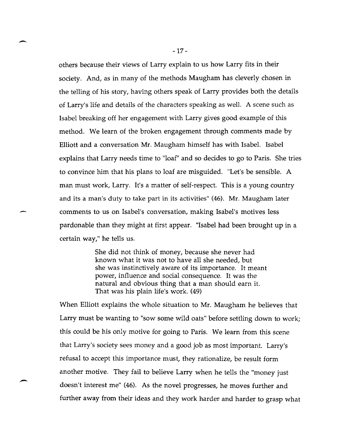others because their views of Larry explain to us how Larry fits in their society. And, as in many of the methods Maugham has cleverly chosen in the telling of his story, having others speak of Larry provides both the details of Larry's life and details of the characters speaking as well. A scene such as Isabel breaking off her engagement with Larry gives good example of this method. We learn of the broken engagement through comments made by Elliott and a conversation Mr. Maugham himself has with Isabel. Isabel explains that Larry needs time to "loaf" and so decides to go to Paris. She tries to convince him that his plans to loaf are misguided. "Let's be sensible. A man must work, Larry. It's a matter of self-respect. This is a young country and its a man's duty to take part in its activities" (46). Mr. Maugham later comments to us on Isabel's conversation, making Isabel's motives less pardonable than they might at first appear. "Isabel had been brought up in a certain way," he tells us.

> She did not think of money, because she never had known what it was not to have all she needed, but she was instinctively aware of its importance. It meant power, influence and social consequence. It was the natural and obvious thing that a man should earn it. That was his plain life's work. (49)

When Elliott explains the whole situation to Mr. Maugham he believes that Larry must be wanting to "sow some wild oats" before settling down to work; this could be his only motive for going to Paris. We learn from this scene that Larry's society sees money and a good job as most important. Larry's refusal to accept this importance must, they rationalize, be result form another motive. They fail to believe Larry when he tells the "money just doesn't interest me" (46). As the novel progresses, he moves further and further away from their ideas and they work harder and harder to grasp what

-

--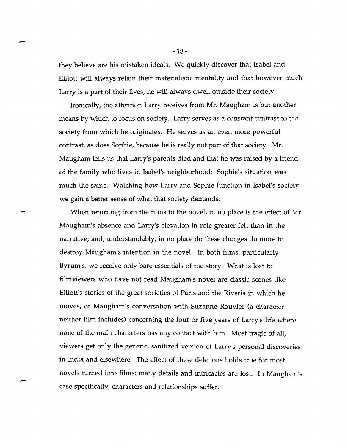they believe are his mistaken ideals. We quickly discover that Isabel and Elliott will always retain their materialistic mentality and that however much Larry is a part of their lives, he will always dwell outside their society.

Ironically, the attention Larry receives from Mr. Maugham is but another means by which to focus on society. Larry serves as a constant contrast to the society from which he originates. He serves as an even more powerful contrast, as does Sophie, because he is really not part of that society. Mr. Maugham tells us that Larry's parents died and that he was raised by a friend of the family who lives in Isabel's neighborhood; Sophie's situation was much the same. Watching how Larry and Sophie function in Isabel's society we gain a better sense of what that society demands.

When returning from the films to the novel, in no place is the effect of Mr. Maugham's absence and Larry's elevation in role greater felt than in the narrative; and, understandably, in no place do these changes do more to destroy Maugham's intention in the novel. In both films, particularly Byrum's, we receive only bare essentials of the story. What is lost to filmviewers who have not read Maugham's novel are classic scenes like Elliott's stories of the great societies of Paris and the Riveria in which he moves, or Maugham's conversation with Suzanne Rouvier (a character neither film includes) concerning the four or five years of Larry's life where none of the main characters has any contact with him. Most tragic of all, viewers get only the generic, sanitized version of Larry's personal discoveries in India and elsewhere. The effect of these deletions holds true for most novels turned into films: many details and intricacies are lost. In Maugham's case specifically, characters and relationships suffer.

-18 -

-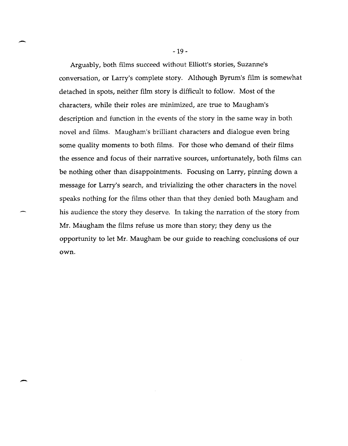Arguably, both films succeed without Elliott's stories, Suzanne's conversation, or Larry's complete story. Although Byrum's film is somewhat detached in spots, neither film story is difficult to follow. Most of the characters, while their roles are minimized, are true to Maugham's description and function in the events of the story in the same way in both novel and films. Maugham's brilliant characters and dialogue even bring some quality moments to both films. For those who demand of their films the essence and focus of their narrative sources, unfortunately, both films can be nothing other than disappointments. Focusing on Larry, pinning down a message for Larry's search, and trivializing the other characters in the novel speaks nothing for the films other than that they denied both Maugham and his audience the story they deserve. In taking the narration of the story from Mr. Maugham the films refuse us more than story; they deny us the opportunity to let Mr. Maugham be our guide to reaching conclusions of our own.

-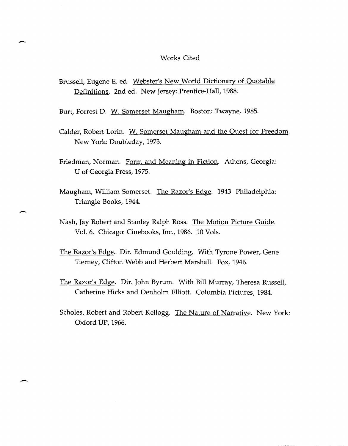## Works Cited

Brussell, Eugene E. ed. Webster's New World Dictionary of Quotable Definitions. 2nd ed. New Jersey: Prentice-Hall, 1988.

Burt, Forrest D. W. Somerset Maugham. Boston: Twayne, 1985.

-

-

- Calder, Robert Lorin. W. Somerset Maugham and the Quest for Freedom. New York: Doubleday, 1973.
- Friedman, Norman. Form and Meaning in Fiction. Athens, Georgia: U of Georgia Press, 1975.
- Maugham, William Somerset. The Razor's Edge. 1943 Philadelphia: Triangle Books, 1944.
- Nash, Jay Robert and Stanley Ralph Ross. The Motion Picture Guide. Vol. 6. Chicago: Cinebooks, Inc., 1986. 10 Vols.
- The Razor's Edge. Dir. Edmund Goulding. With Tyrone Power, Gene Tierney, Clifton Webb and Herbert MarshalL Fox, 1946.
- The Razor's Edge. Dir. John Byrum. With Bill Murray, Theresa Russell, Catherine Hicks and Denholm Elliott. Columbia Pictures, 1984.
- Scholes, Robert and Robert Kellogg. The Nature of Narrative. New York: Oxford UP, 1966.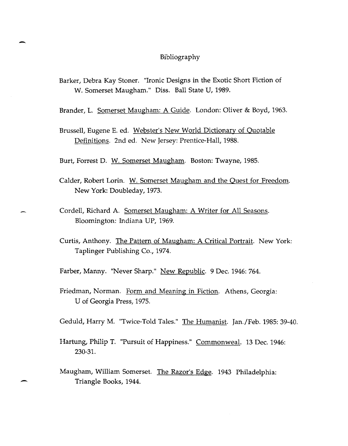## Bibliography

Barker, Debra Kay Stoner. "Ironic Designs in the Exotic Short Fiction of W. Somerset Maugham." Diss. Ball State V, 1989.

-

-

Brander, L. Somerset Maugham: A Guide. London: Oliver & Boyd, 1963.

Brussell, Eugene E. ed. Webster's New World Dictionary of Quotable Definitions. 2nd ed. New Jersey: Prentice-Hall, 1988.

Burt, Forrest D. W. Somerset Maugham. Boston: Twayne, 1985.

- Calder, Robert Lorin. W. Somerset Maugham and the Quest for Freedom. New York: Doubleday, 1973.
- Cordell, Richard A. Somerset Maugham: A Writer for All Seasons. Bloomington: Indiana VP, 1969.
- Curtis, Anthony. The Pattern of Maugham: A Critical Portrait. New York: Taplinger Publishing Co., 1974.

Farber, Manny. "Never Sharp." New Republic. 9 Dec. 1946: 764.

Friedman, Norman. Form and Meaning in Fiction. Athens, Georgia: *V* of Georgia Press, 1975.

Geduld, Harry M. "Twice-Told Tales." The Humanist. Jan./Feb. 1985: 39-40.

- Hartung, Philip T. "Pursuit of Happiness." Commonweal. 13 Dec. 1946: 230-31.
- Maugham, William Somerset. The Razor's Edge. 1943 Philadelphia: Triangle Books, 1944.